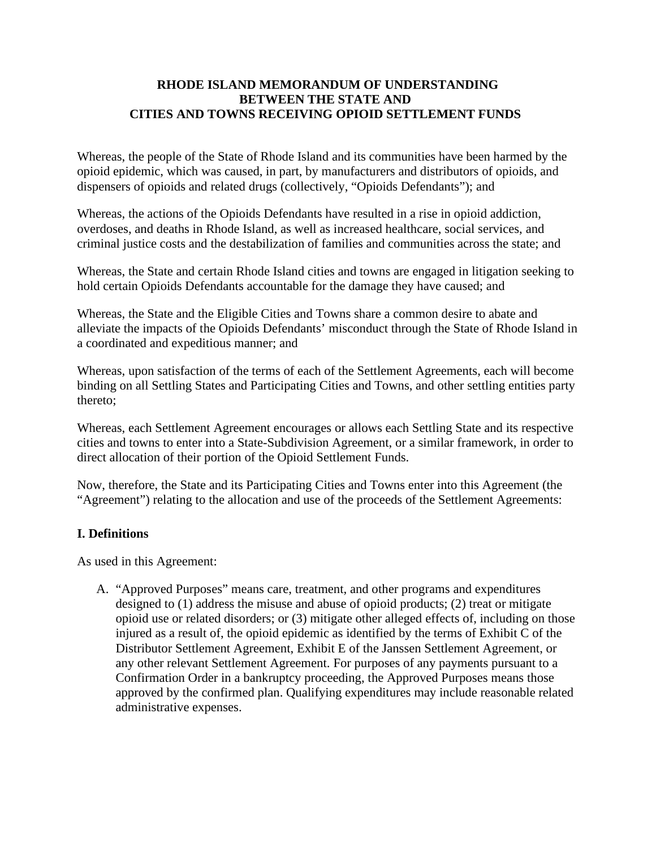## **RHODE ISLAND MEMORANDUM OF UNDERSTANDING BETWEEN THE STATE AND CITIES AND TOWNS RECEIVING OPIOID SETTLEMENT FUNDS**

Whereas, the people of the State of Rhode Island and its communities have been harmed by the opioid epidemic, which was caused, in part, by manufacturers and distributors of opioids, and dispensers of opioids and related drugs (collectively, "Opioids Defendants"); and

Whereas, the actions of the Opioids Defendants have resulted in a rise in opioid addiction, overdoses, and deaths in Rhode Island, as well as increased healthcare, social services, and criminal justice costs and the destabilization of families and communities across the state; and

Whereas, the State and certain Rhode Island cities and towns are engaged in litigation seeking to hold certain Opioids Defendants accountable for the damage they have caused; and

Whereas, the State and the Eligible Cities and Towns share a common desire to abate and alleviate the impacts of the Opioids Defendants' misconduct through the State of Rhode Island in a coordinated and expeditious manner; and

Whereas, upon satisfaction of the terms of each of the Settlement Agreements, each will become binding on all Settling States and Participating Cities and Towns, and other settling entities party thereto;

Whereas, each Settlement Agreement encourages or allows each Settling State and its respective cities and towns to enter into a State-Subdivision Agreement, or a similar framework, in order to direct allocation of their portion of the Opioid Settlement Funds.

Now, therefore, the State and its Participating Cities and Towns enter into this Agreement (the "Agreement") relating to the allocation and use of the proceeds of the Settlement Agreements:

# **I. Definitions**

As used in this Agreement:

A. "Approved Purposes" means care, treatment, and other programs and expenditures designed to (1) address the misuse and abuse of opioid products; (2) treat or mitigate opioid use or related disorders; or (3) mitigate other alleged effects of, including on those injured as a result of, the opioid epidemic as identified by the terms of Exhibit C of the Distributor Settlement Agreement, Exhibit E of the Janssen Settlement Agreement, or any other relevant Settlement Agreement. For purposes of any payments pursuant to a Confirmation Order in a bankruptcy proceeding, the Approved Purposes means those approved by the confirmed plan. Qualifying expenditures may include reasonable related administrative expenses.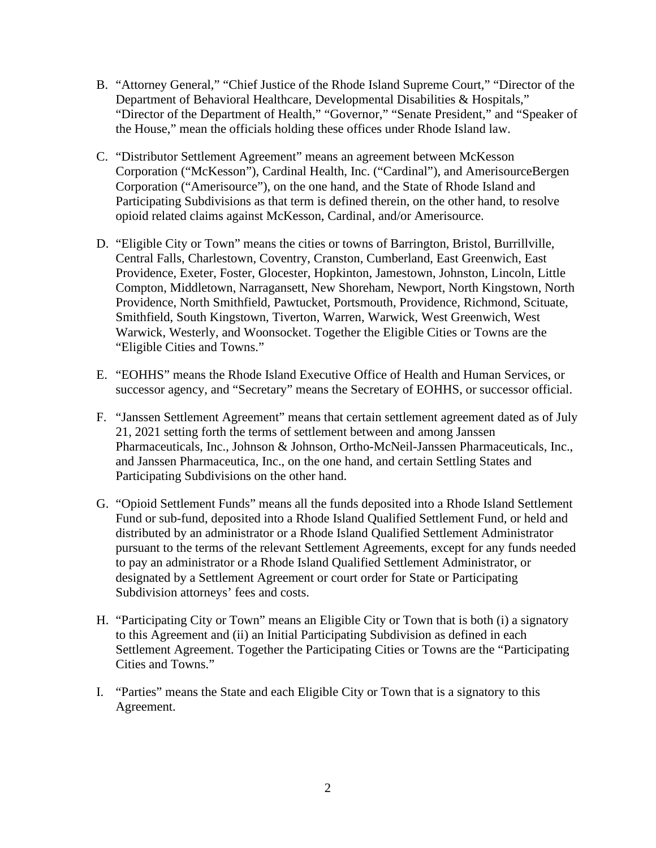- B. "Attorney General," "Chief Justice of the Rhode Island Supreme Court," "Director of the Department of Behavioral Healthcare, Developmental Disabilities & Hospitals," "Director of the Department of Health," "Governor," "Senate President," and "Speaker of the House," mean the officials holding these offices under Rhode Island law.
- C. "Distributor Settlement Agreement" means an agreement between McKesson Corporation ("McKesson"), Cardinal Health, Inc. ("Cardinal"), and AmerisourceBergen Corporation ("Amerisource"), on the one hand, and the State of Rhode Island and Participating Subdivisions as that term is defined therein, on the other hand, to resolve opioid related claims against McKesson, Cardinal, and/or Amerisource.
- D. "Eligible City or Town" means the cities or towns of Barrington, Bristol, Burrillville, Central Falls, Charlestown, Coventry, Cranston, Cumberland, East Greenwich, East Providence, Exeter, Foster, Glocester, Hopkinton, Jamestown, Johnston, Lincoln, Little Compton, Middletown, Narragansett, New Shoreham, Newport, North Kingstown, North Providence, North Smithfield, Pawtucket, Portsmouth, Providence, Richmond, Scituate, Smithfield, South Kingstown, Tiverton, Warren, Warwick, West Greenwich, West Warwick, Westerly, and Woonsocket. Together the Eligible Cities or Towns are the "Eligible Cities and Towns."
- E. "EOHHS" means the Rhode Island Executive Office of Health and Human Services, or successor agency, and "Secretary" means the Secretary of EOHHS, or successor official.
- F. "Janssen Settlement Agreement" means that certain settlement agreement dated as of July 21, 2021 setting forth the terms of settlement between and among Janssen Pharmaceuticals, Inc., Johnson & Johnson, Ortho-McNeil-Janssen Pharmaceuticals, Inc., and Janssen Pharmaceutica, Inc., on the one hand, and certain Settling States and Participating Subdivisions on the other hand.
- G. "Opioid Settlement Funds" means all the funds deposited into a Rhode Island Settlement Fund or sub-fund, deposited into a Rhode Island Qualified Settlement Fund, or held and distributed by an administrator or a Rhode Island Qualified Settlement Administrator pursuant to the terms of the relevant Settlement Agreements, except for any funds needed to pay an administrator or a Rhode Island Qualified Settlement Administrator, or designated by a Settlement Agreement or court order for State or Participating Subdivision attorneys' fees and costs.
- H. "Participating City or Town" means an Eligible City or Town that is both (i) a signatory to this Agreement and (ii) an Initial Participating Subdivision as defined in each Settlement Agreement. Together the Participating Cities or Towns are the "Participating Cities and Towns."
- I. "Parties" means the State and each Eligible City or Town that is a signatory to this Agreement.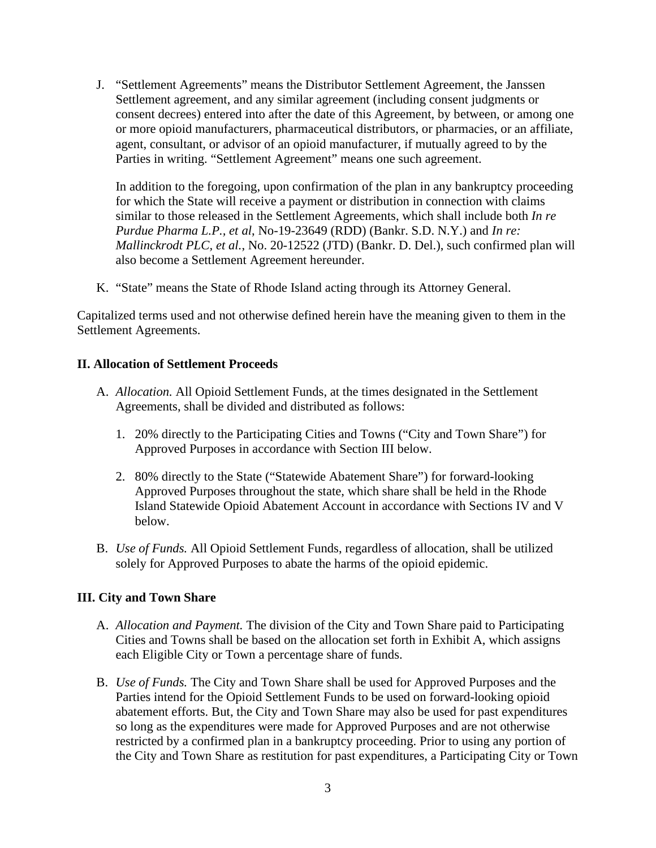J. "Settlement Agreements" means the Distributor Settlement Agreement, the Janssen Settlement agreement, and any similar agreement (including consent judgments or consent decrees) entered into after the date of this Agreement, by between, or among one or more opioid manufacturers, pharmaceutical distributors, or pharmacies, or an affiliate, agent, consultant, or advisor of an opioid manufacturer, if mutually agreed to by the Parties in writing. "Settlement Agreement" means one such agreement.

In addition to the foregoing, upon confirmation of the plan in any bankruptcy proceeding for which the State will receive a payment or distribution in connection with claims similar to those released in the Settlement Agreements, which shall include both *In re Purdue Pharma L.P., et al*, No-19-23649 (RDD) (Bankr. S.D. N.Y.) and *In re: Mallinckrodt PLC, et al.*, No. 20-12522 (JTD) (Bankr. D. Del.), such confirmed plan will also become a Settlement Agreement hereunder.

K. "State" means the State of Rhode Island acting through its Attorney General.

Capitalized terms used and not otherwise defined herein have the meaning given to them in the Settlement Agreements.

#### **II. Allocation of Settlement Proceeds**

- A. *Allocation.* All Opioid Settlement Funds, at the times designated in the Settlement Agreements, shall be divided and distributed as follows:
	- 1. 20% directly to the Participating Cities and Towns ("City and Town Share") for Approved Purposes in accordance with Section III below.
	- 2. 80% directly to the State ("Statewide Abatement Share") for forward-looking Approved Purposes throughout the state, which share shall be held in the Rhode Island Statewide Opioid Abatement Account in accordance with Sections IV and V below.
- B. *Use of Funds.* All Opioid Settlement Funds, regardless of allocation, shall be utilized solely for Approved Purposes to abate the harms of the opioid epidemic.

## **III. City and Town Share**

- A. *Allocation and Payment.* The division of the City and Town Share paid to Participating Cities and Towns shall be based on the allocation set forth in Exhibit A, which assigns each Eligible City or Town a percentage share of funds.
- B. *Use of Funds.* The City and Town Share shall be used for Approved Purposes and the Parties intend for the Opioid Settlement Funds to be used on forward-looking opioid abatement efforts. But, the City and Town Share may also be used for past expenditures so long as the expenditures were made for Approved Purposes and are not otherwise restricted by a confirmed plan in a bankruptcy proceeding. Prior to using any portion of the City and Town Share as restitution for past expenditures, a Participating City or Town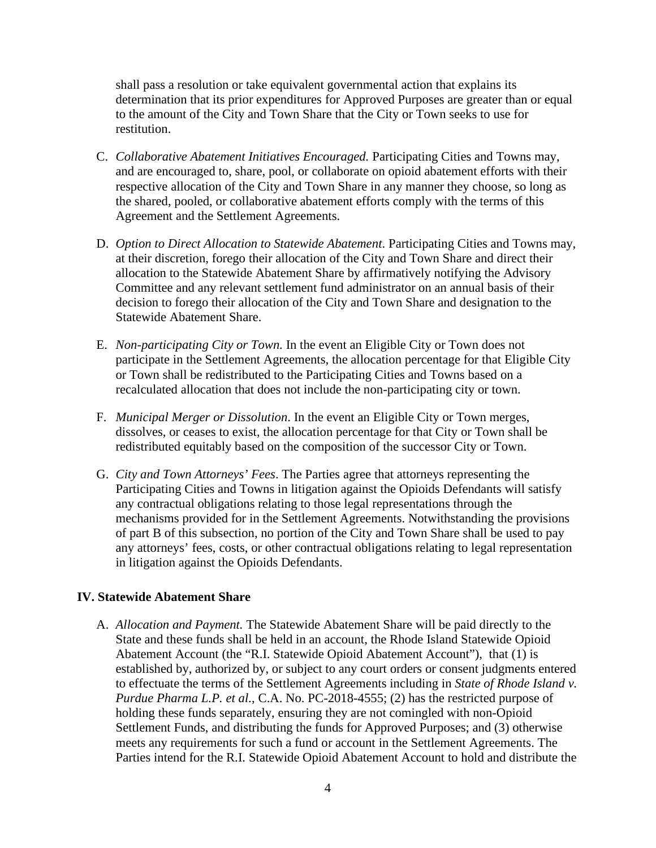shall pass a resolution or take equivalent governmental action that explains its determination that its prior expenditures for Approved Purposes are greater than or equal to the amount of the City and Town Share that the City or Town seeks to use for restitution.

- C. *Collaborative Abatement Initiatives Encouraged.* Participating Cities and Towns may, and are encouraged to, share, pool, or collaborate on opioid abatement efforts with their respective allocation of the City and Town Share in any manner they choose, so long as the shared, pooled, or collaborative abatement efforts comply with the terms of this Agreement and the Settlement Agreements.
- D. *Option to Direct Allocation to Statewide Abatement*. Participating Cities and Towns may, at their discretion, forego their allocation of the City and Town Share and direct their allocation to the Statewide Abatement Share by affirmatively notifying the Advisory Committee and any relevant settlement fund administrator on an annual basis of their decision to forego their allocation of the City and Town Share and designation to the Statewide Abatement Share.
- E. *Non-participating City or Town.* In the event an Eligible City or Town does not participate in the Settlement Agreements, the allocation percentage for that Eligible City or Town shall be redistributed to the Participating Cities and Towns based on a recalculated allocation that does not include the non-participating city or town.
- F. *Municipal Merger or Dissolution*. In the event an Eligible City or Town merges, dissolves, or ceases to exist, the allocation percentage for that City or Town shall be redistributed equitably based on the composition of the successor City or Town.
- G. *City and Town Attorneys' Fees*. The Parties agree that attorneys representing the Participating Cities and Towns in litigation against the Opioids Defendants will satisfy any contractual obligations relating to those legal representations through the mechanisms provided for in the Settlement Agreements. Notwithstanding the provisions of part B of this subsection, no portion of the City and Town Share shall be used to pay any attorneys' fees, costs, or other contractual obligations relating to legal representation in litigation against the Opioids Defendants.

#### **IV. Statewide Abatement Share**

A. *Allocation and Payment.* The Statewide Abatement Share will be paid directly to the State and these funds shall be held in an account, the Rhode Island Statewide Opioid Abatement Account (the "R.I. Statewide Opioid Abatement Account"), that (1) is established by, authorized by, or subject to any court orders or consent judgments entered to effectuate the terms of the Settlement Agreements including in *State of Rhode Island v. Purdue Pharma L.P. et al.*, C.A. No. PC-2018-4555; (2) has the restricted purpose of holding these funds separately, ensuring they are not comingled with non-Opioid Settlement Funds, and distributing the funds for Approved Purposes; and (3) otherwise meets any requirements for such a fund or account in the Settlement Agreements. The Parties intend for the R.I. Statewide Opioid Abatement Account to hold and distribute the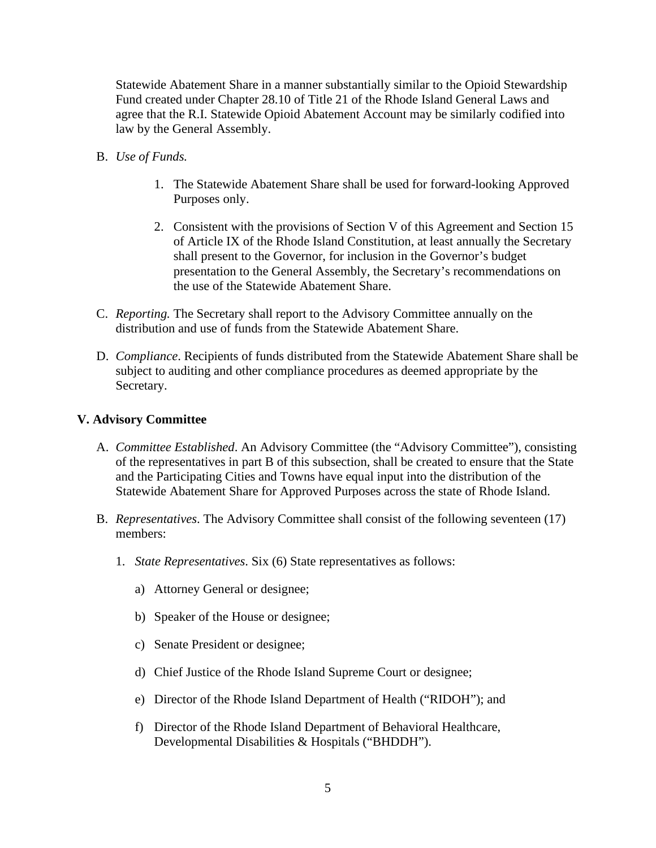Statewide Abatement Share in a manner substantially similar to the Opioid Stewardship Fund created under Chapter 28.10 of Title 21 of the Rhode Island General Laws and agree that the R.I. Statewide Opioid Abatement Account may be similarly codified into law by the General Assembly.

- B. *Use of Funds.*
	- 1. The Statewide Abatement Share shall be used for forward-looking Approved Purposes only.
	- 2. Consistent with the provisions of Section V of this Agreement and Section 15 of Article IX of the Rhode Island Constitution, at least annually the Secretary shall present to the Governor, for inclusion in the Governor's budget presentation to the General Assembly, the Secretary's recommendations on the use of the Statewide Abatement Share.
- C. *Reporting.* The Secretary shall report to the Advisory Committee annually on the distribution and use of funds from the Statewide Abatement Share.
- D. *Compliance*. Recipients of funds distributed from the Statewide Abatement Share shall be subject to auditing and other compliance procedures as deemed appropriate by the Secretary.

## **V. Advisory Committee**

- A. *Committee Established*. An Advisory Committee (the "Advisory Committee"), consisting of the representatives in part B of this subsection, shall be created to ensure that the State and the Participating Cities and Towns have equal input into the distribution of the Statewide Abatement Share for Approved Purposes across the state of Rhode Island.
- B. *Representatives*. The Advisory Committee shall consist of the following seventeen (17) members:
	- 1. *State Representatives*. Six (6) State representatives as follows:
		- a) Attorney General or designee;
		- b) Speaker of the House or designee;
		- c) Senate President or designee;
		- d) Chief Justice of the Rhode Island Supreme Court or designee;
		- e) Director of the Rhode Island Department of Health ("RIDOH"); and
		- f) Director of the Rhode Island Department of Behavioral Healthcare, Developmental Disabilities & Hospitals ("BHDDH").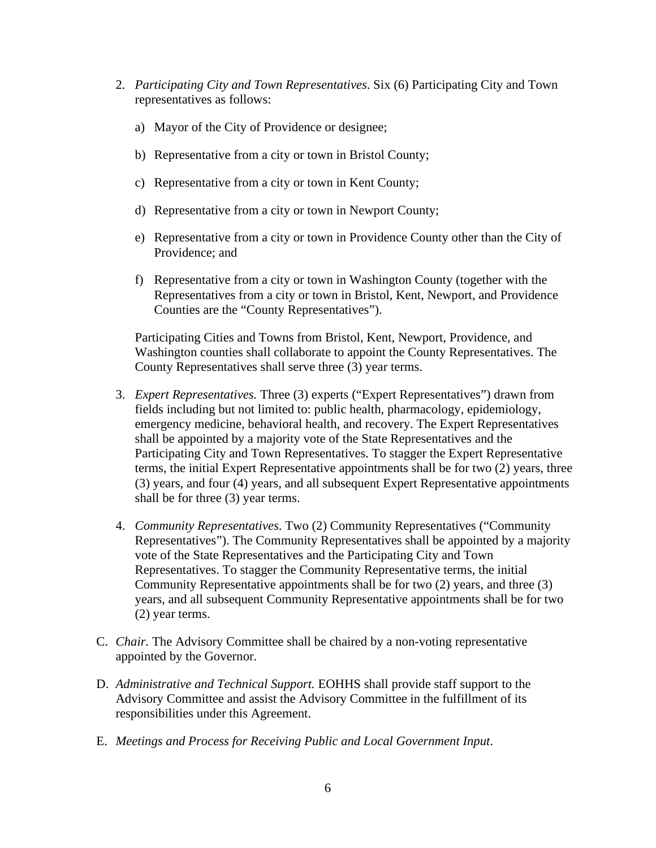- 2. *Participating City and Town Representatives*. Six (6) Participating City and Town representatives as follows:
	- a) Mayor of the City of Providence or designee;
	- b) Representative from a city or town in Bristol County;
	- c) Representative from a city or town in Kent County;
	- d) Representative from a city or town in Newport County;
	- e) Representative from a city or town in Providence County other than the City of Providence; and
	- f) Representative from a city or town in Washington County (together with the Representatives from a city or town in Bristol, Kent, Newport, and Providence Counties are the "County Representatives").

Participating Cities and Towns from Bristol, Kent, Newport, Providence, and Washington counties shall collaborate to appoint the County Representatives. The County Representatives shall serve three (3) year terms.

- 3. *Expert Representatives.* Three (3) experts ("Expert Representatives") drawn from fields including but not limited to: public health, pharmacology, epidemiology, emergency medicine, behavioral health, and recovery. The Expert Representatives shall be appointed by a majority vote of the State Representatives and the Participating City and Town Representatives. To stagger the Expert Representative terms, the initial Expert Representative appointments shall be for two (2) years, three (3) years, and four (4) years, and all subsequent Expert Representative appointments shall be for three (3) year terms.
- 4. *Community Representatives*. Two (2) Community Representatives ("Community Representatives"). The Community Representatives shall be appointed by a majority vote of the State Representatives and the Participating City and Town Representatives. To stagger the Community Representative terms, the initial Community Representative appointments shall be for two (2) years, and three (3) years, and all subsequent Community Representative appointments shall be for two (2) year terms.
- C. *Chair.* The Advisory Committee shall be chaired by a non-voting representative appointed by the Governor.
- D. *Administrative and Technical Support.* EOHHS shall provide staff support to the Advisory Committee and assist the Advisory Committee in the fulfillment of its responsibilities under this Agreement.
- E. *Meetings and Process for Receiving Public and Local Government Input*.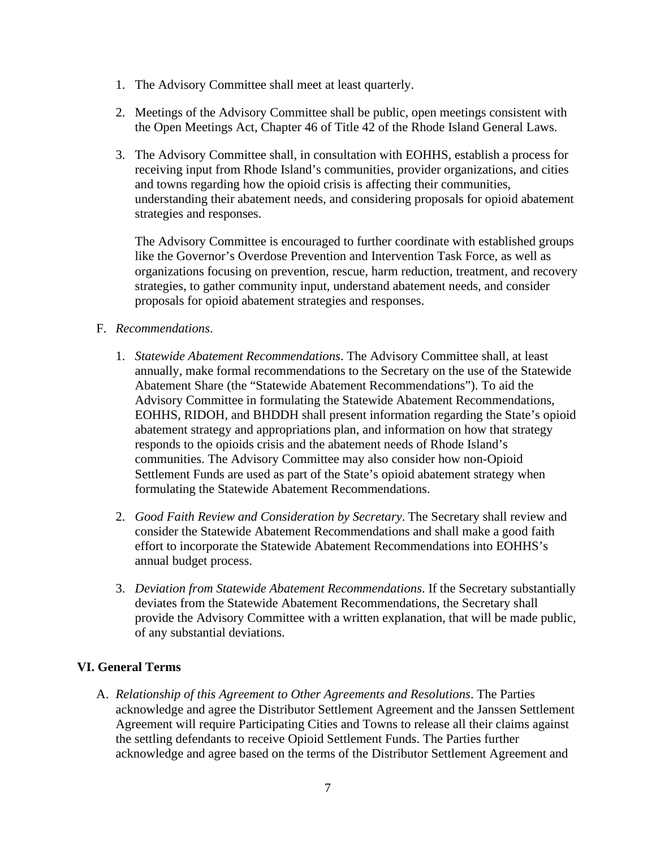- 1. The Advisory Committee shall meet at least quarterly.
- 2. Meetings of the Advisory Committee shall be public, open meetings consistent with the Open Meetings Act, Chapter 46 of Title 42 of the Rhode Island General Laws.
- 3. The Advisory Committee shall, in consultation with EOHHS, establish a process for receiving input from Rhode Island's communities, provider organizations, and cities and towns regarding how the opioid crisis is affecting their communities, understanding their abatement needs, and considering proposals for opioid abatement strategies and responses.

The Advisory Committee is encouraged to further coordinate with established groups like the Governor's Overdose Prevention and Intervention Task Force, as well as organizations focusing on prevention, rescue, harm reduction, treatment, and recovery strategies, to gather community input, understand abatement needs, and consider proposals for opioid abatement strategies and responses.

## F. *Recommendations*.

- 1. *Statewide Abatement Recommendations*. The Advisory Committee shall, at least annually, make formal recommendations to the Secretary on the use of the Statewide Abatement Share (the "Statewide Abatement Recommendations"). To aid the Advisory Committee in formulating the Statewide Abatement Recommendations, EOHHS, RIDOH, and BHDDH shall present information regarding the State's opioid abatement strategy and appropriations plan, and information on how that strategy responds to the opioids crisis and the abatement needs of Rhode Island's communities. The Advisory Committee may also consider how non-Opioid Settlement Funds are used as part of the State's opioid abatement strategy when formulating the Statewide Abatement Recommendations.
- 2. *Good Faith Review and Consideration by Secretary*. The Secretary shall review and consider the Statewide Abatement Recommendations and shall make a good faith effort to incorporate the Statewide Abatement Recommendations into EOHHS's annual budget process.
- 3. *Deviation from Statewide Abatement Recommendations*. If the Secretary substantially deviates from the Statewide Abatement Recommendations, the Secretary shall provide the Advisory Committee with a written explanation, that will be made public, of any substantial deviations.

# **VI. General Terms**

A. *Relationship of this Agreement to Other Agreements and Resolutions*. The Parties acknowledge and agree the Distributor Settlement Agreement and the Janssen Settlement Agreement will require Participating Cities and Towns to release all their claims against the settling defendants to receive Opioid Settlement Funds. The Parties further acknowledge and agree based on the terms of the Distributor Settlement Agreement and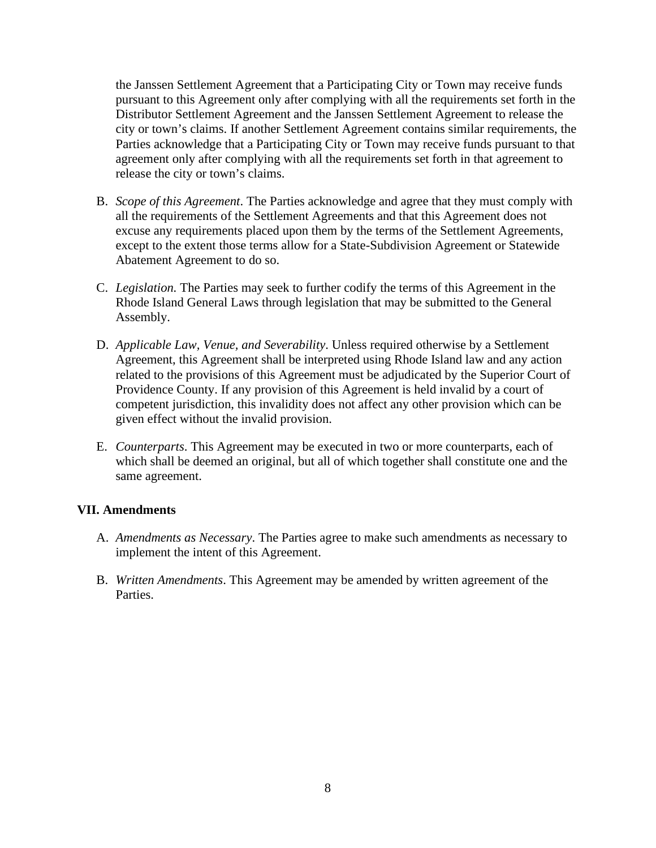the Janssen Settlement Agreement that a Participating City or Town may receive funds pursuant to this Agreement only after complying with all the requirements set forth in the Distributor Settlement Agreement and the Janssen Settlement Agreement to release the city or town's claims. If another Settlement Agreement contains similar requirements, the Parties acknowledge that a Participating City or Town may receive funds pursuant to that agreement only after complying with all the requirements set forth in that agreement to release the city or town's claims.

- B. *Scope of this Agreement*. The Parties acknowledge and agree that they must comply with all the requirements of the Settlement Agreements and that this Agreement does not excuse any requirements placed upon them by the terms of the Settlement Agreements, except to the extent those terms allow for a State-Subdivision Agreement or Statewide Abatement Agreement to do so.
- C. *Legislation.* The Parties may seek to further codify the terms of this Agreement in the Rhode Island General Laws through legislation that may be submitted to the General Assembly.
- D. *Applicable Law, Venue, and Severability*. Unless required otherwise by a Settlement Agreement, this Agreement shall be interpreted using Rhode Island law and any action related to the provisions of this Agreement must be adjudicated by the Superior Court of Providence County. If any provision of this Agreement is held invalid by a court of competent jurisdiction, this invalidity does not affect any other provision which can be given effect without the invalid provision.
- E. *Counterparts*. This Agreement may be executed in two or more counterparts, each of which shall be deemed an original, but all of which together shall constitute one and the same agreement.

## **VII. Amendments**

- A. *Amendments as Necessary*. The Parties agree to make such amendments as necessary to implement the intent of this Agreement.
- B. *Written Amendments*. This Agreement may be amended by written agreement of the Parties.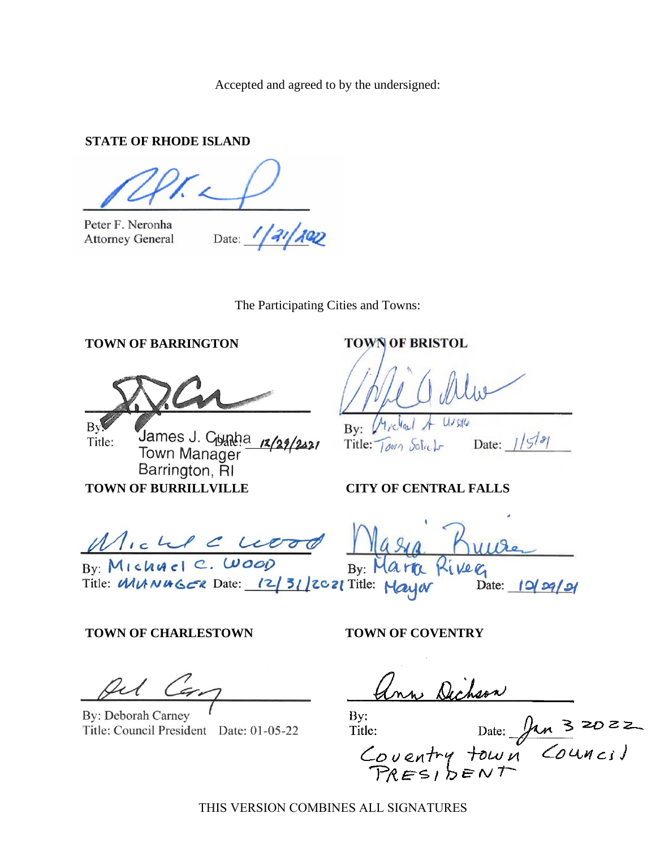Accepted and agreed to by the undersigned:

## **STATE OF RHODE ISLAND**

Peter F. Neronha **Attorney General** 

Date: 1/21/2022

The Participating Cities and Towns:

**TOWN OF BARRINGTON**

 $Bv$ James J. C<sub>b</sub>ynha 12/29/2421 Title: Town Manager Barrington, RI **TOWN OF BURRILLVILLE**

# **TOWN OF BRISTOL**

Usella

By: *Michael* Title:  $\int_{\partial w\gamma}$   $\delta$ ol<sub>ce</sub> $\downarrow$  Date:  $\frac{1}{5}$ 

#### **CITY OF CENTRAL FALLS**

By: Title:  $\frac{1}{2}$  Date:  $\frac{1}{2}$   $\frac{1}{2}$ 

#### **TOWN OF CHARLESTOWN**

By: Deborah Carney Title: Council President Date: 01-05-22

#### **TOWN OF COVENTRY**

Unn Dechson

 $By:$ Title: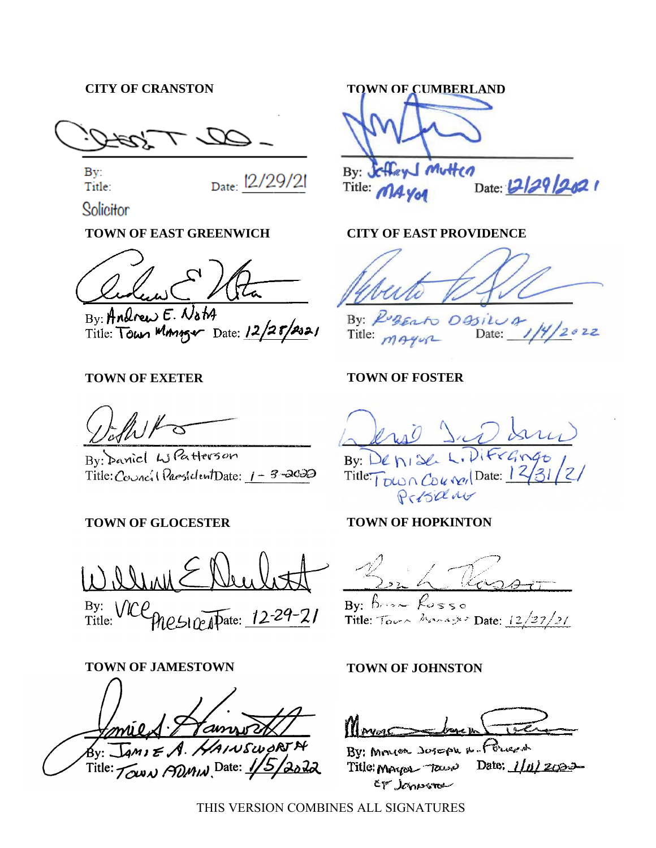#### **CITY OF CRANSTON**

SS.

By:

 $T$ itle:  $D$ <sub>Date:</sub>  $12/29/21$ 

Solicitor

# **TOWN OF EAST GREENWICH**

By: Andrew E. NotA Title: Town Mininger Date: 12/25/2021

# **TOWN OF EXETER**

By: Daniel W Patterson Title: Council PaosidentDate: 1-3-2022

# **TOWN OF GLOCESTER**

By:<br>Title: Mesincapate: 12-29-21

**TOWN OF JAMESTOWN TOWN OF JOHNSTON**

HAINSWORTA Title: Town ADMIN Date: 1/5 2022

**TOWN OF CUMBERLAND**

cffey Mutten By:  $\sqrt{ }$ Date: 12/29/2021 Title: MAYOR

# **CITY OF EAST PROVIDENCE**

By: RuBERN OBSILUA Date:  $2022$ Title: *magus* 

## **TOWN OF FOSTER**

 $Bv:$ Title:  $_{\sim}$  DW  $_{\sim}$  Cou  $_{\sim}$  Date: 12 Presduo

## **TOWN OF HOPKINTON**

By:  $b \sim b \sim s \cdot b$ 

Title: Tours Marrager Date:  $12/27/21$ 

By: Monior Joseph N. Power Date:  $1/u$  zose Title MAYOR TOWN CF Janusra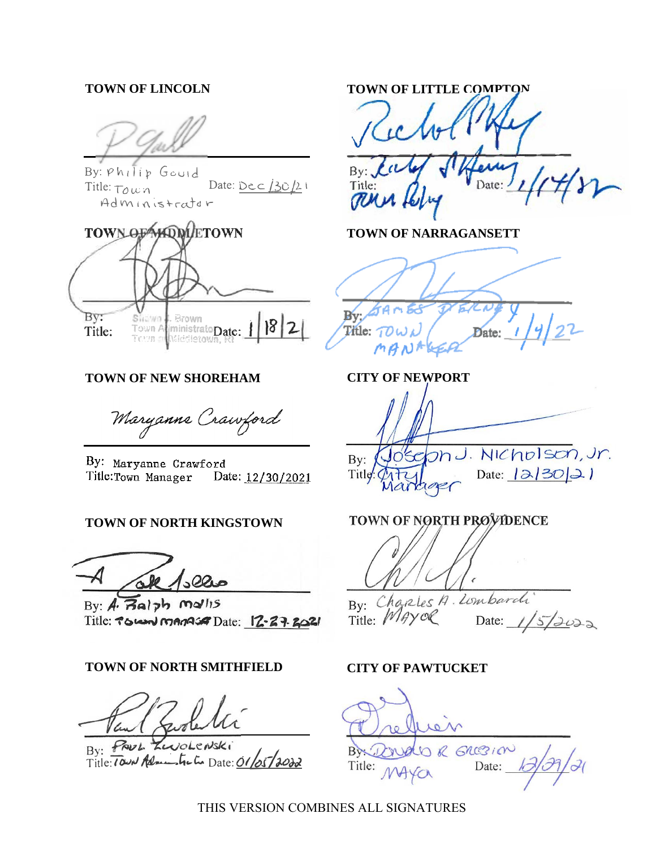$By:Phi$ <sub>ilip</sub> Gouid Title:  $T_0 \mu n$  Date: <u>Dec /30/2</u>1 Administrator

**TOWN OF MIDDLETOWN** Bv: Sile wn Brown  $|8|2|$ Town AlministratoDate: Title: Widdletown Teun s

**TOWN OF NEW SHOREHAM**

Maryanne Crawford

By: Maryanne Crawford Title:Town Manager Date: 12/30/2021

#### **TOWN OF NORTH KINGSTOWN**

 $By:  $A \cdot \overline{B}$ alzh mallis$ Title: TOWN MAMASA Date: 12-27-2021

#### **TOWN OF NORTH SMITHFIELD CITY OF PAWTUCKET**

By: Faul Zwolenski<br>Title: *Town Remainder Date: 01/05/2022* 

**TOWN OF LINCOLN TOWN OF LITTLE COMPTON**

By: Title:  $\mathcal{O}_1$  Date:  $\mathcal{I}_1$ 

**TOWN OF NARRAGANSETT**

Bv Title: Date:

**CITY OF NEWPORT**  $J$ osc Nicholson, Jr. By: Date: 12/3021 Title: Marciaer

TOWN OF NORTH PROVIDENCE

By: Charles A. Lombarch Date:  $1/5/2022$ 

R GRESION B Title: Date: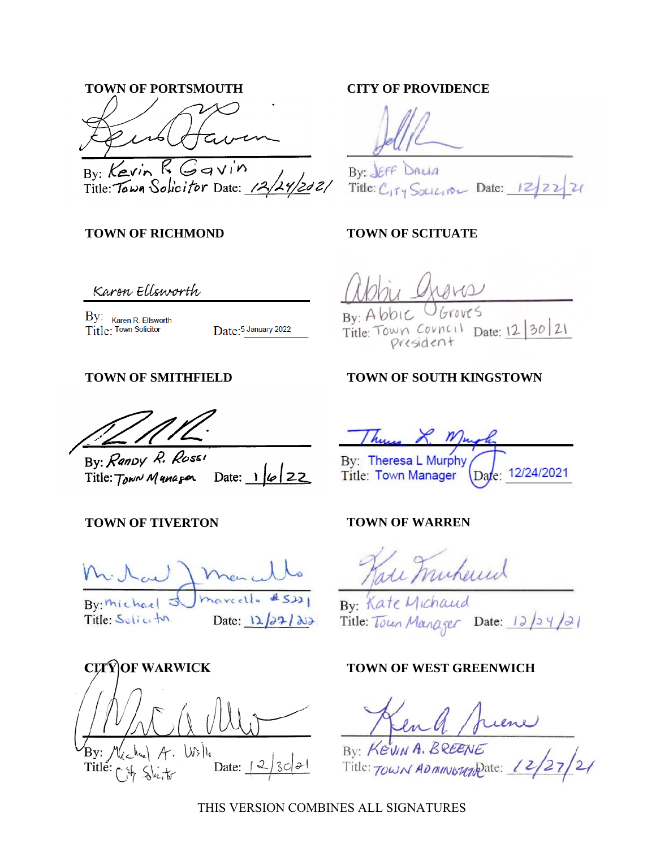**TOWN OF PORTSMOUTH CITY OF PROVIDENCE** By: Kevin R. Gavin

By: REVIA WE GAVINING

## **TOWN OF RICHMOND**

Karen Ellsworth

By: Karen R. Ellsworth<br>Title: Town Solicitor

Date:<sup>5</sup> January 2022

# **TOWN OF SMITHFIELD**

By: Randy R. Rossi Date:  $1/6/22$ Title: *Town Managen* 

# **TOWN OF TIVERTON**

 $HS11$ arcello By: Michael:<br>Title: Solicitor Date:  $\frac{12}{3}$   $\frac{12}{7}$   $\frac{12}{9}$ 

**CITY OF WARWICK TOWN OF WEST GREENWICH** Bv:  $W_5$ Title: Date:

By: JEFF DALIA Title:  $C_{15y}$  Souching Date:  $12/22$  21

## **TOWN OF SCITUATE**

 $By: AbbC$ oves Title: Town Corneil Date: 12 30 21 president

# **TOWN OF SOUTH KINGSTOWN**

By: Theresa L Murphy Date: 12/24/2021 Title: Town Manager

## **TOWN OF WARREN**

ise muheund

By: Kate Michaud Title: Toun Manager Date: 12/24/21

By: KEVIN A. BREENE  $\frac{1}{27}$   $\frac{2}{1}$ Title: TOWN ADMINISTATO Pate: 12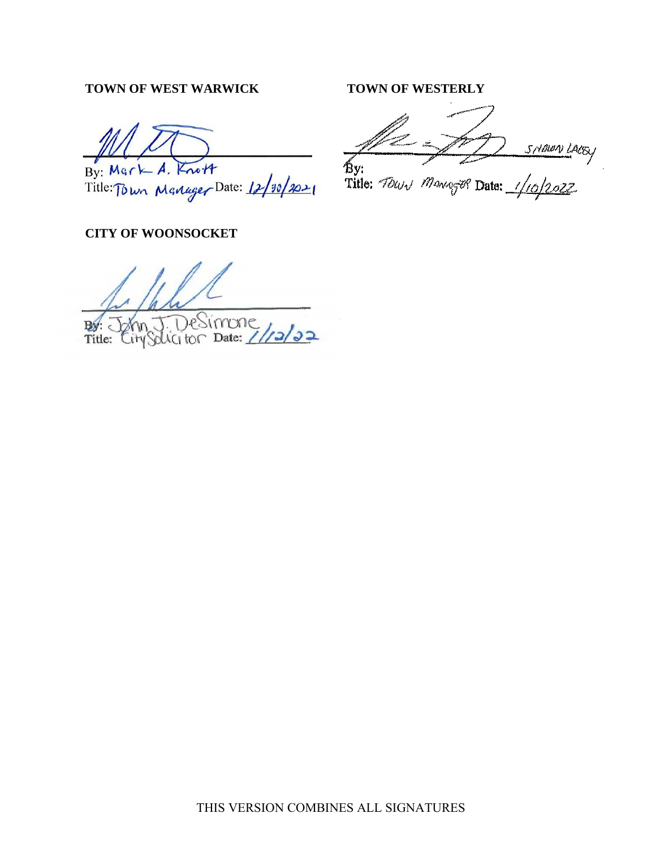# **TOWN OF WEST WARWICK TOWN OF WESTERLY**

 $\overline{M}$ 

By: Mark Title: Town Manager Date: 12/90/2021

## **CITY OF WOONSOCKET**

 $1000e$ <br>Date: ///2/22 E) Title: ity citor

SMANN LACEY 'Bv:

Title: TOWN MANAGER Date: 1/10/2022